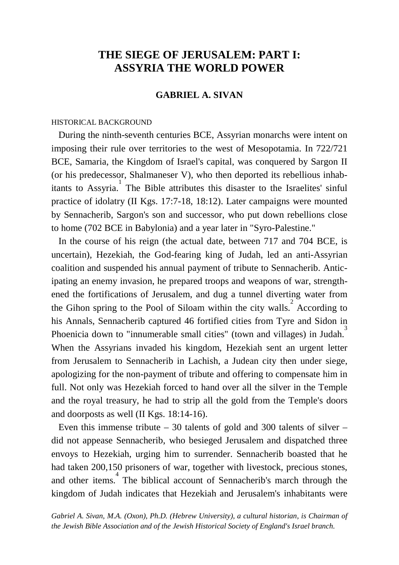# **THE SIEGE OF JERUSALEM: PART I: ASSYRIA THE WORLD POWER**

# **GABRIEL A. SIVAN**

### HISTORICAL BACKGROUND

 During the ninth-seventh centuries BCE, Assyrian monarchs were intent on imposing their rule over territories to the west of Mesopotamia. In 722/721 BCE, Samaria, the Kingdom of Israel's capital, was conquered by Sargon II (or his predecessor, Shalmaneser V), who then deported its rebellious inhabitants to Assyria.<sup>1</sup> The Bible attributes this disaster to the Israelites' sinful practice of idolatry (II Kgs. 17:7-18, 18:12). Later campaigns were mounted by Sennacherib, Sargon's son and successor, who put down rebellions close to home (702 BCE in Babylonia) and a year later in "Syro-Palestine."

 In the course of his reign (the actual date, between 717 and 704 BCE, is uncertain), Hezekiah, the God-fearing king of Judah, led an anti-Assyrian coalition and suspended his annual payment of tribute to Sennacherib. Anticipating an enemy invasion, he prepared troops and weapons of war, strengthened the fortifications of Jerusalem, and dug a tunnel diverting water from the Gihon spring to the Pool of Siloam within the city walls.<sup>2</sup> According to his Annals, Sennacherib captured 46 fortified cities from Tyre and Sidon in Phoenicia down to "innumerable small cities" (town and villages) in Judah.<sup>3</sup> When the Assyrians invaded his kingdom, Hezekiah sent an urgent letter from Jerusalem to Sennacherib in Lachish, a Judean city then under siege, apologizing for the non-payment of tribute and offering to compensate him in full. Not only was Hezekiah forced to hand over all the silver in the Temple and the royal treasury, he had to strip all the gold from the Temple's doors and doorposts as well (II Kgs. 18:14-16).

Even this immense tribute  $-30$  talents of gold and 300 talents of silver  $$ did not appease Sennacherib, who besieged Jerusalem and dispatched three envoys to Hezekiah, urging him to surrender. Sennacherib boasted that he had taken 200,150 prisoners of war, together with livestock, precious stones, and other items.<sup>4</sup> The biblical account of Sennacherib's march through the kingdom of Judah indicates that Hezekiah and Jerusalem's inhabitants were

*Gabriel A. Sivan, M.A. (Oxon), Ph.D. (Hebrew University), a cultural historian, is Chairman of the Jewish Bible Association and of the Jewish Historical Society of England's Israel branch.*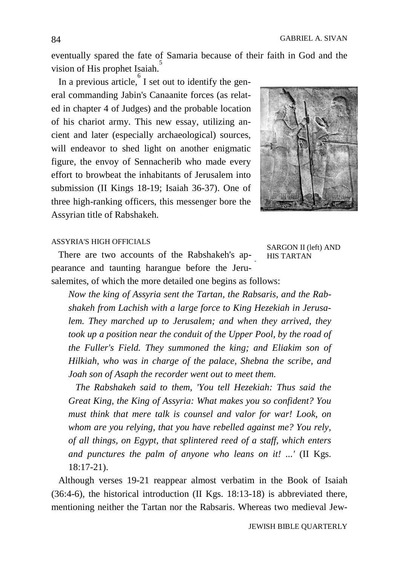eventually spared the fate of Samaria because of their faith in God and the vision of His prophet Isaiah.<sup>5</sup>

In a previous article,  $\int_{0}^{6}$  I set out to identify the general commanding Jabin's Canaanite forces (as related in chapter 4 of Judges) and the probable location of his chariot army. This new essay, utilizing ancient and later (especially archaeological) sources, will endeavor to shed light on another enigmatic figure, the envoy of Sennacherib who made every effort to browbeat the inhabitants of Jerusalem into submission (II Kings 18-19; Isaiah 36-37). One of three high-ranking officers, this messenger bore the Assyrian title of Rabshakeh.



#### ASSYRIA'S HIGH OFFICIALS

 There are two accounts of the Rabshakeh's appearance and taunting harangue before the Jeru-

SARGON II (left) AND HIS TARTAN

salemites, of which the more detailed one begins as follows:

*Now the king of Assyria sent the Tartan, the Rabsaris, and the Rabshakeh from Lachish with a large force to King Hezekiah in Jerusalem. They marched up to Jerusalem; and when they arrived, they took up a position near the conduit of the Upper Pool, by the road of the Fuller's Field. They summoned the king; and Eliakim son of Hilkiah, who was in charge of the palace, Shebna the scribe, and Joah son of Asaph the recorder went out to meet them.*

 *The Rabshakeh said to them, 'You tell Hezekiah: Thus said the Great King, the King of Assyria: What makes you so confident? You must think that mere talk is counsel and valor for war! Look, on whom are you relying, that you have rebelled against me? You rely, of all things, on Egypt, that splintered reed of a staff, which enters and punctures the palm of anyone who leans on it! ...'* (II Kgs. 18:17-21).

 Although verses 19-21 reappear almost verbatim in the Book of Isaiah (36:4-6), the historical introduction (II Kgs. 18:13-18) is abbreviated there, mentioning neither the Tartan nor the Rabsaris. Whereas two medieval Jew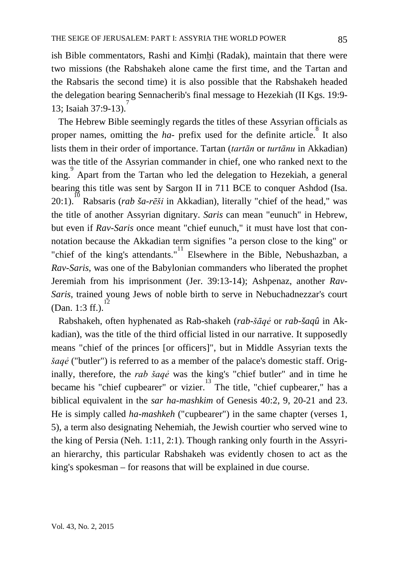ish Bible commentators, Rashi and Kimhi (Radak), maintain that there were two missions (the Rabshakeh alone came the first time, and the Tartan and the Rabsaris the second time) it is also possible that the Rabshakeh headed the delegation bearing Sennacherib's final message to Hezekiah (II Kgs. 19:9- 13; Isaiah 37:9-13).

 The Hebrew Bible seemingly regards the titles of these Assyrian officials as proper names, omitting the  $ha$ - prefix used for the definite article.<sup>8</sup> It also lists them in their order of importance. Tartan (*tartān* or *turtānu* in Akkadian) was the title of the Assyrian commander in chief, one who ranked next to the king.<sup>9</sup> Apart from the Tartan who led the delegation to Hezekiah, a general bearing this title was sent by Sargon II in 711 BCE to conquer Ashdod (Isa. 20:1).<sup>10</sup> Rabsaris (*rab ša-rēši* in Akkadian), literally "chief of the head," was the title of another Assyrian dignitary. *Saris* can mean "eunuch" in Hebrew, but even if *Rav-Saris* once meant "chief eunuch," it must have lost that connotation because the Akkadian term signifies "a person close to the king" or "chief of the king's attendants."<sup>11</sup> Elsewhere in the Bible, Nebushazban, a *Rav-Saris*, was one of the Babylonian commanders who liberated the prophet Jeremiah from his imprisonment (Jer. 39:13-14); Ashpenaz, another *Rav-Saris*, trained young Jews of noble birth to serve in Nebuchadnezzar's court (Dan. 1:3 ff.).<sup>1</sup>

 Rabshakeh, often hyphenated as Rab-shakeh (*rab-šāqẻ* or *rab-šaqû* in Akkadian), was the title of the third official listed in our narrative. It supposedly means "chief of the princes [or officers]", but in Middle Assyrian texts the *šaqẻ* ("butler") is referred to as a member of the palace's domestic staff. Originally, therefore, the *rab šaqẻ* was the king's "chief butler" and in time he became his "chief cupbearer" or vizier.<sup>13</sup> The title, "chief cupbearer," has a biblical equivalent in the *sar ha-mashkim* of Genesis 40:2, 9, 20-21 and 23. He is simply called *ha-mashkeh* ("cupbearer") in the same chapter (verses 1, 5), a term also designating Nehemiah, the Jewish courtier who served wine to the king of Persia (Neh. 1:11, 2:1). Though ranking only fourth in the Assyrian hierarchy, this particular Rabshakeh was evidently chosen to act as the king's spokesman – for reasons that will be explained in due course.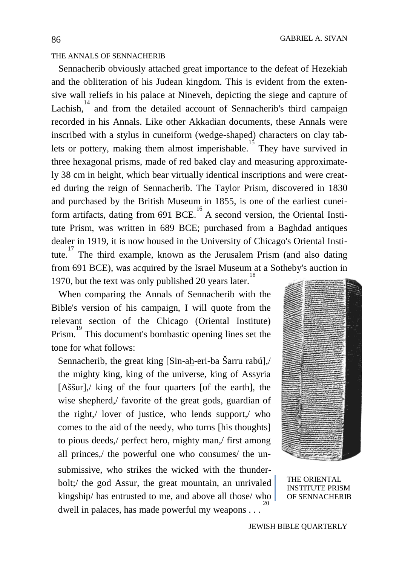#### THE ANNALS OF SENNACHERIB

 Sennacherib obviously attached great importance to the defeat of Hezekiah and the obliteration of his Judean kingdom. This is evident from the extensive wall reliefs in his palace at Nineveh, depicting the siege and capture of Lachish, $14$  and from the detailed account of Sennacherib's third campaign recorded in his Annals. Like other Akkadian documents, these Annals were inscribed with a stylus in cuneiform (wedge-shaped) characters on clay tablets or pottery, making them almost imperishable. They have survived in three hexagonal prisms, made of red baked clay and measuring approximately 38 cm in height, which bear virtually identical inscriptions and were created during the reign of Sennacherib. The Taylor Prism, discovered in 1830 and purchased by the British Museum in 1855, is one of the earliest cuneiform artifacts, dating from 691 BCE.<sup>16</sup> A second version, the Oriental Institute Prism, was written in 689 BCE; purchased from a Baghdad antiques dealer in 1919, it is now housed in the University of Chicago's Oriental Institute.<sup>17</sup> The third example, known as the Jerusalem Prism (and also dating from 691 BCE), was acquired by the Israel Museum at a Sotheby's auction in 1970, but the text was only published 20 years later.

 When comparing the Annals of Sennacherib with the Bible's version of his campaign, I will quote from the relevant section of the Chicago (Oriental Institute) Prism.<sup>19</sup> This document's bombastic opening lines set the tone for what follows:

Sennacherib, the great king [Sin-ah-eri-ba Šarru rabú],/ the mighty king, king of the universe, king of Assyria [Aššur],/ king of the four quarters [of the earth], the wise shepherd,/ favorite of the great gods, guardian of the right,/ lover of justice, who lends support,/ who comes to the aid of the needy, who turns [his thoughts] to pious deeds,/ perfect hero, mighty man,/ first among all princes,/ the powerful one who consumes/ the unsubmissive, who strikes the wicked with the thunderbolt;/ the god Assur, the great mountain, an unrivaled kingship/ has entrusted to me, and above all those/ who dwell in palaces, has made powerful my weapons . . .



THE ORIENTAL INSTITUTE PRISM OF SENNACHERIB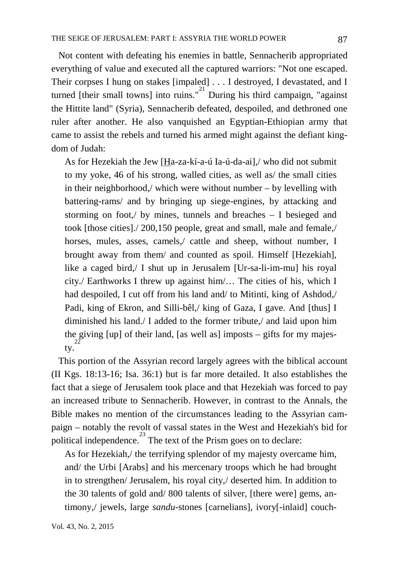Not content with defeating his enemies in battle, Sennacherib appropriated everything of value and executed all the captured warriors: "Not one escaped. Their corpses I hung on stakes [impaled] . . . I destroyed, I devastated, and I turned [their small towns] into ruins." $^{21}$  During his third campaign, "against the Hittite land" (Syria), Sennacherib defeated, despoiled, and dethroned one ruler after another. He also vanquished an Egyptian-Ethiopian army that came to assist the rebels and turned his armed might against the defiant kingdom of Judah:

As for Hezekiah the Jew [Ha-za-kí-a-ú Ia-ú-da-ai],/ who did not submit to my yoke, 46 of his strong, walled cities, as well as/ the small cities in their neighborhood,/ which were without number – by levelling with battering-rams/ and by bringing up siege-engines, by attacking and storming on foot,/ by mines, tunnels and breaches – I besieged and took [those cities]./ 200,150 people, great and small, male and female,/ horses, mules, asses, camels,/ cattle and sheep, without number, I brought away from them/ and counted as spoil. Himself [Hezekiah], like a caged bird,/ I shut up in Jerusalem [Ur-sa-li-im-mu] his royal city./ Earthworks I threw up against him/… The cities of his, which I had despoiled, I cut off from his land and/ to Mitinti, king of Ashdod,/ Padi, king of Ekron, and Silli-bêl,/ king of Gaza, I gave. And [thus] I diminished his land./ I added to the former tribute,/ and laid upon him the giving [up] of their land, [as well as] imposts – gifts for my majesty.

 This portion of the Assyrian record largely agrees with the biblical account (II Kgs. 18:13-16; Isa. 36:1) but is far more detailed. It also establishes the fact that a siege of Jerusalem took place and that Hezekiah was forced to pay an increased tribute to Sennacherib. However, in contrast to the Annals, the Bible makes no mention of the circumstances leading to the Assyrian campaign – notably the revolt of vassal states in the West and Hezekiah's bid for  $\sum_{n=1}^{\infty}$  political independence.<sup>23</sup> The text of the Prism goes on to declare:

As for Hezekiah,/ the terrifying splendor of my majesty overcame him, and/ the Urbi [Arabs] and his mercenary troops which he had brought in to strengthen/ Jerusalem, his royal city,/ deserted him. In addition to the 30 talents of gold and/ 800 talents of silver, [there were] gems, antimony,/ jewels, large *sandu*-stones [carnelians], ivory[-inlaid] couch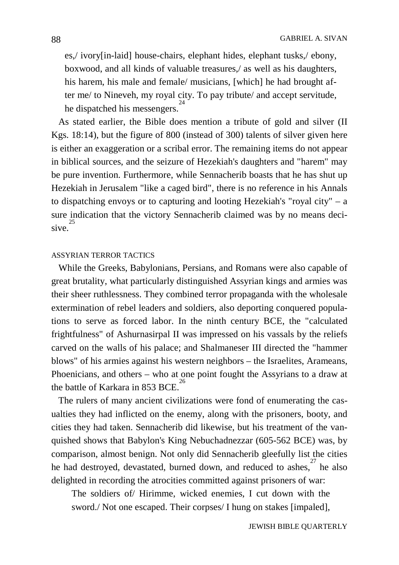es,/ ivory[in-laid] house-chairs, elephant hides, elephant tusks,/ ebony, boxwood, and all kinds of valuable treasures,/ as well as his daughters, his harem, his male and female/ musicians, [which] he had brought after me/ to Nineveh, my royal city. To pay tribute/ and accept servitude, he dispatched his messengers.

 As stated earlier, the Bible does mention a tribute of gold and silver (II Kgs. 18:14), but the figure of 800 (instead of 300) talents of silver given here is either an exaggeration or a scribal error. The remaining items do not appear in biblical sources, and the seizure of Hezekiah's daughters and "harem" may be pure invention. Furthermore, while Sennacherib boasts that he has shut up Hezekiah in Jerusalem "like a caged bird", there is no reference in his Annals to dispatching envoys or to capturing and looting Hezekiah's "royal city" – a sure indication that the victory Sennacherib claimed was by no means decisive.<sup>2</sup>

## ASSYRIAN TERROR TACTICS

 While the Greeks, Babylonians, Persians, and Romans were also capable of great brutality, what particularly distinguished Assyrian kings and armies was their sheer ruthlessness. They combined terror propaganda with the wholesale extermination of rebel leaders and soldiers, also deporting conquered populations to serve as forced labor. In the ninth century BCE, the "calculated frightfulness" of Ashurnasirpal II was impressed on his vassals by the reliefs carved on the walls of his palace; and Shalmaneser III directed the "hammer blows" of his armies against his western neighbors – the Israelites, Arameans, Phoenicians, and others – who at one point fought the Assyrians to a draw at the battle of Karkara in 853 BCF.<sup>26</sup>

 The rulers of many ancient civilizations were fond of enumerating the casualties they had inflicted on the enemy, along with the prisoners, booty, and cities they had taken. Sennacherib did likewise, but his treatment of the vanquished shows that Babylon's King Nebuchadnezzar (605-562 BCE) was, by comparison, almost benign. Not only did Sennacherib gleefully list the cities he had destroyed, devastated, burned down, and reduced to ashes,<sup>27</sup> he also delighted in recording the atrocities committed against prisoners of war:

The soldiers of/ Hirimme, wicked enemies, I cut down with the sword./ Not one escaped. Their corpses/ I hung on stakes [impaled],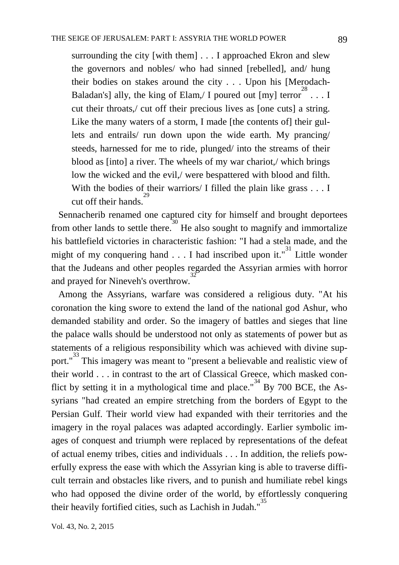surrounding the city [with them] . . . I approached Ekron and slew the governors and nobles/ who had sinned [rebelled], and/ hung their bodies on stakes around the city . . . Upon his [Merodach-Baladan's] ally, the king of Elam,/ I poured out [my] terror  $28 \ldots$  I cut their throats,/ cut off their precious lives as [one cuts] a string. Like the many waters of a storm, I made [the contents of] their gullets and entrails/ run down upon the wide earth. My prancing/ steeds, harnessed for me to ride, plunged/ into the streams of their blood as [into] a river. The wheels of my war chariot,/ which brings low the wicked and the evil,/ were bespattered with blood and filth. With the bodies of their warriors/ I filled the plain like grass . . . I cut off their hands. 29

 Sennacherib renamed one captured city for himself and brought deportees from other lands to settle there.<sup>30</sup> He also sought to magnify and immortalize his battlefield victories in characteristic fashion: "I had a stela made, and the might of my conquering hand  $\ldots$  I had inscribed upon it.<sup>31</sup> Little wonder that the Judeans and other peoples regarded the Assyrian armies with horror and prayed for Nineveh's overthrow.

 Among the Assyrians, warfare was considered a religious duty. "At his coronation the king swore to extend the land of the national god Ashur, who demanded stability and order. So the imagery of battles and sieges that line the palace walls should be understood not only as statements of power but as statements of a religious responsibility which was achieved with divine support."<sup>33</sup> This imagery was meant to "present a believable and realistic view of their world . . . in contrast to the art of Classical Greece, which masked conflict by setting it in a mythological time and place."<sup>34</sup> By 700 BCE, the Assyrians "had created an empire stretching from the borders of Egypt to the Persian Gulf. Their world view had expanded with their territories and the imagery in the royal palaces was adapted accordingly. Earlier symbolic images of conquest and triumph were replaced by representations of the defeat of actual enemy tribes, cities and individuals . . . In addition, the reliefs powerfully express the ease with which the Assyrian king is able to traverse difficult terrain and obstacles like rivers, and to punish and humiliate rebel kings who had opposed the divine order of the world, by effortlessly conquering their heavily fortified cities, such as Lachish in Judah."<sup>35</sup>

Vol. 43, No. 2, 2015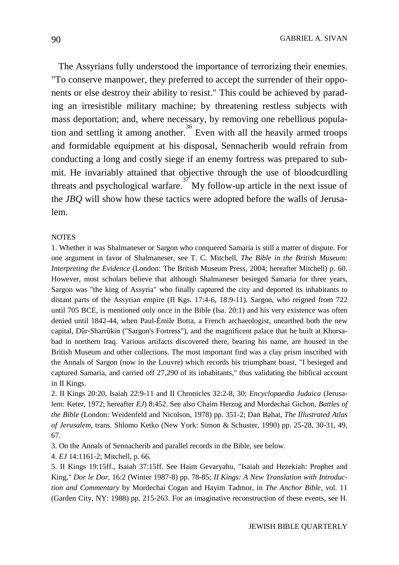The Assyrians fully understood the importance of terrorizing their enemies. "To conserve manpower, they preferred to accept the surrender of their opponents or else destroy their ability to resist." This could be achieved by parading an irresistible military machine; by threatening restless subjects with mass deportation; and, where necessary, by removing one rebellious population and settling it among another.<sup>36</sup> Even with all the heavily armed troops and formidable equipment at his disposal, Sennacherib would refrain from conducting a long and costly siege if an enemy fortress was prepared to submit. He invariably attained that objective through the use of bloodcurdling threats and psychological warfare.<sup>37</sup> My follow-up article in the next issue of the *JBQ* will show how these tactics were adopted before the walls of Jerusalem.

#### **NOTES**

1. Whether it was Shalmaneser or Sargon who conquered Samaria is still a matter of dispute. For one argument in favor of Shalmaneser, see T. C. Mitchell, *The Bible in the British Museum: Interpreting the Evidence* (London: The British Museum Press, 2004; hereafter Mitchell) p. 60. However, most scholars believe that although Shalmaneser besieged Samaria for three years, Sargon was "the king of Assyria" who finally captured the city and deported its inhabitants to distant parts of the Assyrian empire (II Kgs. 17:4-6, 18:9-11). Sargon, who reigned from 722 until 705 BCE, is mentioned only once in the Bible (Isa. 20:1) and his very existence was often denied until 1842-44, when Paul-Émile Botta, a French archaeologist, unearthed both the new capital, Dûr-Sharrûkin ("Sargon's Fortress"), and the magnificent palace that he built at Khorsabad in northern Iraq. Various artifacts discovered there, bearing his name, are housed in the British Museum and other collections. The most important find was a clay prism inscribed with the Annals of Sargon (now in the Louvre) which records his triumphant boast, "I besieged and captured Samaria, and carried off 27,290 of its inhabitants," thus validating the biblical account in II Kings.

2. II Kings 20:20, Isaiah 22:9-11 and II Chronicles 32:2-8, 30; *Encyclopaedia Judaica* (Jerusalem: Keter, 1972; hereafter *EJ*) 8:452. See also Chaim Herzog and Mordechai Gichon, *Battles of the Bible* (London: Weidenfeld and Nicolson, 1978) pp. 351-2; Dan Bahat, *The Illustrated Atlas of Jerusalem*, trans. Shlomo Ketko (New York: Simon & Schuster, 1990) pp. 25-28, 30-31, 49, 67.

3. On the Annals of Sennacherib and parallel records in the Bible, see below.

4. *EJ* 14:1161-2; Mitchell, p. 66.

5. II Kings 19:15ff., Isaiah 37:15ff. See Haim Gevaryahu, "Isaiah and Hezekiah: Prophet and King," *Dor le Dor*, 16:2 (Winter 1987-8) pp. 78-85; *II Kings: A New Translation with Introduction and Commentary* by Mordechai Cogan and Hayim Tadmor, in *The Anchor Bible*, vol. 11 (Garden City, NY: 1988) pp. 215-263. For an imaginative reconstruction of these events, see H.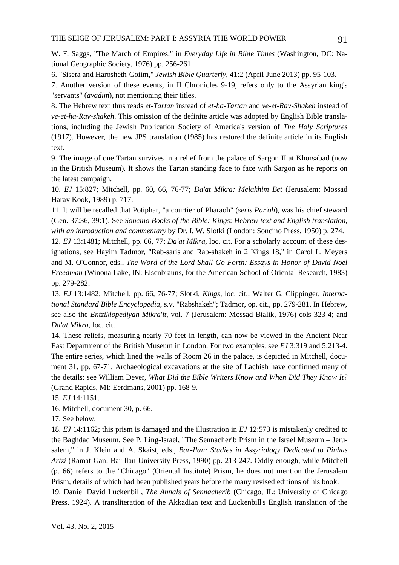W. F. Saggs, "The March of Empires," in *Everyday Life in Bible Times* (Washington, DC: National Geographic Society, 1976) pp. 256-261.

6. "Sisera and Harosheth-Goiim," *Jewish Bible Quarterly*, 41:2 (April-June 2013) pp. 95-103.

7. Another version of these events, in II Chronicles 9-19, refers only to the Assyrian king's "servants" (*avadim*), not mentioning their titles.

8. The Hebrew text thus reads *et-Tartan* instead of *et-ha-Tartan* and *ve-et-Rav-Shakeh* instead of *ve-et-ha-Rav-shakeh*. This omission of the definite article was adopted by English Bible translations, including the Jewish Publication Society of America's version of *The Holy Scriptures* (1917). However, the new JPS translation (1985) has restored the definite article in its English text.

9. The image of one Tartan survives in a relief from the palace of Sargon II at Khorsabad (now in the British Museum). It shows the Tartan standing face to face with Sargon as he reports on the latest campaign.

10. *EJ* 15:827; Mitchell, pp. 60, 66, 76-77; *Da'at Mikra: Melakhim Bet* (Jerusalem: Mossad Harav Kook, 1989) p. 717.

11. It will be recalled that Potiphar, "a courtier of Pharaoh" (*seris Par'oh*), was his chief steward (Gen. 37:36, 39:1). See *Soncino Books of the Bible: Kings*: *Hebrew text and English translation, with an introduction and commentary* by Dr. I. W. Slotki (London: Soncino Press, 1950) p. 274.

12. *EJ* 13:1481; Mitchell, pp. 66, 77; *Da'at Mikra*, loc. cit. For a scholarly account of these designations, see Hayim Tadmor, "Rab-saris and Rab-shakeh in 2 Kings 18," in Carol L. Meyers and M. O'Connor, eds., *The Word of the Lord Shall Go Forth: Essays in Honor of David Noel Freedman* (Winona Lake, IN: Eisenbrauns, for the American School of Oriental Research, 1983) pp. 279-282.

13. *EJ* 13:1482; Mitchell, pp. 66, 76-77; Slotki, *Kings*, loc. cit.; Walter G. Clippinger, *International Standard Bible Encyclopedia*, s.v. "Rabshakeh"; Tadmor, op. cit., pp. 279-281. In Hebrew, see also the *Entziklopediyah Mikra'it*, vol. 7 (Jerusalem: Mossad Bialik, 1976) cols 323-4; and *Da'at Mikra*, loc. cit.

14. These reliefs, measuring nearly 70 feet in length, can now be viewed in the Ancient Near East Department of the British Museum in London. For two examples, see *EJ* 3:319 and 5:213-4. The entire series, which lined the walls of Room 26 in the palace, is depicted in Mitchell, document 31, pp. 67-71. Archaeological excavations at the site of Lachish have confirmed many of the details: see William Dever, *What Did the Bible Writers Know and When Did They Know It?*  (Grand Rapids, MI: Eerdmans, 2001) pp. 168-9.

15. *EJ* 14:1151.

16. Mitchell, document 30, p. 66.

17. See below.

18. *EJ* 14:1162; this prism is damaged and the illustration in *EJ* 12:573 is mistakenly credited to the Baghdad Museum. See P. Ling-Israel, "The Sennacherib Prism in the Israel Museum – Jerusalem," in J. Klein and A. Skaist, eds., *Bar-Ilan: Studies in Assyriology Dedicated to Pinhas Artzi* (Ramat-Gan: Bar-Ilan University Press, 1990) pp. 213-247. Oddly enough, while Mitchell (p. 66) refers to the "Chicago" (Oriental Institute) Prism, he does not mention the Jerusalem Prism, details of which had been published years before the many revised editions of his book. 19. Daniel David Luckenbill, *The Annals of Sennacherib* (Chicago, IL: University of Chicago Press, 1924). A transliteration of the Akkadian text and Luckenbill's English translation of the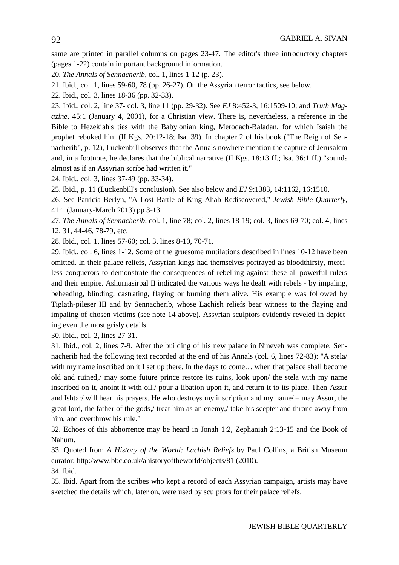same are printed in parallel columns on pages 23-47. The editor's three introductory chapters (pages 1-22) contain important background information.

20. *The Annals of Sennacherib*, col. 1, lines 1-12 (p. 23).

- 21. Ibid., col. 1, lines 59-60, 78 (pp. 26-27). On the Assyrian terror tactics, see below.
- 22. Ibid., col. 3, lines 18-36 (pp. 32-33).

23. Ibid., col. 2, line 37- col. 3, line 11 (pp. 29-32). See *EJ* 8:452-3, 16:1509-10; and *Truth Magazine*, 45:1 (January 4, 2001), for a Christian view. There is, nevertheless, a reference in the Bible to Hezekiah's ties with the Babylonian king, Merodach-Baladan, for which Isaiah the prophet rebuked him (II Kgs. 20:12-18; Isa. 39). In chapter 2 of his book ("The Reign of Sennacherib", p. 12), Luckenbill observes that the Annals nowhere mention the capture of Jerusalem and, in a footnote, he declares that the biblical narrative (II Kgs. 18:13 ff.; Isa. 36:1 ff.) "sounds almost as if an Assyrian scribe had written it."

24. Ibid., col. 3, lines 37-49 (pp. 33-34).

25. Ibid., p. 11 (Luckenbill's conclusion). See also below and *EJ* 9:1383, 14:1162, 16:1510.

26. See Patricia Berlyn, "A Lost Battle of King Ahab Rediscovered," *Jewish Bible Quarterly*, 41:1 (January-March 2013) pp 3-13.

27. *The Annals of Sennacherib*, col. 1, line 78; col. 2, lines 18-19; col. 3, lines 69-70; col. 4, lines 12, 31, 44-46, 78-79, etc.

28. Ibid., col. 1, lines 57-60; col. 3, lines 8-10, 70-71.

29. Ibid., col. 6, lines 1-12. Some of the gruesome mutilations described in lines 10-12 have been omitted. In their palace reliefs, Assyrian kings had themselves portrayed as bloodthirsty, merciless conquerors to demonstrate the consequences of rebelling against these all-powerful rulers and their empire. Ashurnasirpal II indicated the various ways he dealt with rebels - by impaling, beheading, blinding, castrating, flaying or burning them alive. His example was followed by Tiglath-pileser III and by Sennacherib, whose Lachish reliefs bear witness to the flaying and impaling of chosen victims (see note 14 above). Assyrian sculptors evidently reveled in depicting even the most grisly details.

30. Ibid., col. 2, lines 27-31.

31. Ibid., col. 2, lines 7-9. After the building of his new palace in Nineveh was complete, Sennacherib had the following text recorded at the end of his Annals (col. 6, lines 72-83): "A stela/ with my name inscribed on it I set up there. In the days to come... when that palace shall become old and ruined,/ may some future prince restore its ruins, look upon/ the stela with my name inscribed on it, anoint it with oil,/ pour a libation upon it, and return it to its place. Then Assur and Ishtar/ will hear his prayers. He who destroys my inscription and my name/ – may Assur, the great lord, the father of the gods,/ treat him as an enemy,/ take his scepter and throne away from him, and overthrow his rule."

32. Echoes of this abhorrence may be heard in Jonah 1:2, Zephaniah 2:13-15 and the Book of Nahum.

33. Quoted from *A History of the World: Lachish Reliefs* by Paul Collins, a British Museum curator: http:/www.bbc.co.uk/ahistoryoftheworld/objects/81 (2010).

34. Ibid.

35. Ibid. Apart from the scribes who kept a record of each Assyrian campaign, artists may have sketched the details which, later on, were used by sculptors for their palace reliefs.